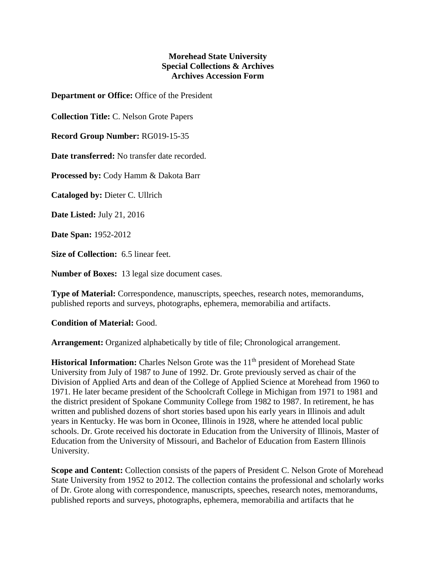## **Morehead State University Special Collections & Archives Archives Accession Form**

**Department or Office:** Office of the President

**Collection Title:** C. Nelson Grote Papers

**Record Group Number:** RG019-15-35

**Date transferred:** No transfer date recorded.

**Processed by:** Cody Hamm & Dakota Barr

**Cataloged by:** Dieter C. Ullrich

**Date Listed:** July 21, 2016

**Date Span:** 1952-2012

**Size of Collection:** 6.5 linear feet.

**Number of Boxes:** 13 legal size document cases.

**Type of Material:** Correspondence, manuscripts, speeches, research notes, memorandums, published reports and surveys, photographs, ephemera, memorabilia and artifacts.

**Condition of Material:** Good.

**Arrangement:** Organized alphabetically by title of file; Chronological arrangement.

**Historical Information:** Charles Nelson Grote was the 11<sup>th</sup> president of Morehead State University from July of 1987 to June of 1992. Dr. Grote previously served as chair of the Division of Applied Arts and dean of the College of Applied Science at Morehead from 1960 to 1971. He later became president of the Schoolcraft College in Michigan from 1971 to 1981 and the district president of Spokane Community College from 1982 to 1987. In retirement, he has written and published dozens of short stories based upon his early years in Illinois and adult years in Kentucky. He was born in Oconee, Illinois in 1928, where he attended local public schools. Dr. Grote received his doctorate in Education from the University of Illinois, Master of Education from the University of Missouri, and Bachelor of Education from Eastern Illinois University.

**Scope and Content:** Collection consists of the papers of President C. Nelson Grote of Morehead State University from 1952 to 2012. The collection contains the professional and scholarly works of Dr. Grote along with correspondence, manuscripts, speeches, research notes, memorandums, published reports and surveys, photographs, ephemera, memorabilia and artifacts that he